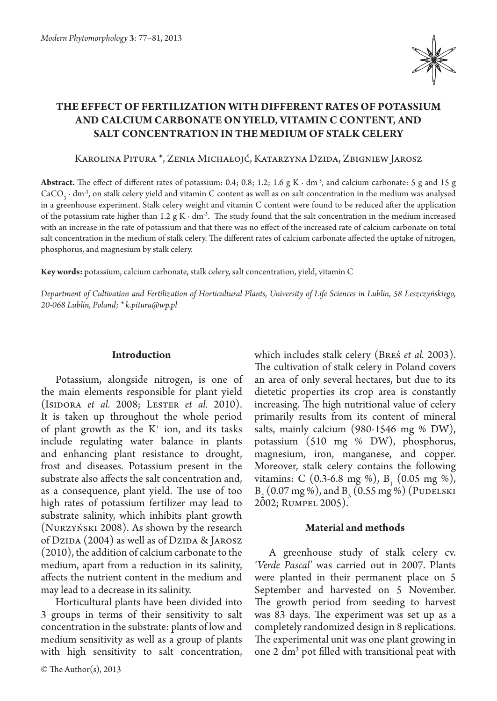

# **The effect of fertilization with different rates of potassium and calcium carbonate on yield, vitamin C content, and salt concentration in the medium of stalk celery**

Karolina Pitura \*, Zenia Michałojć, Katarzyna Dzida, Zbigniew Jarosz

**Abstract.** The effect of different rates of potassium: 0.4; 0.8; 1.2; 1.6 g K ∙ dm-3, and calcium carbonate: 5 g and 15 g  $CaCO<sub>3</sub> \cdot dm<sup>3</sup>$ , on stalk celery yield and vitamin C content as well as on salt concentration in the medium was analysed in a greenhouse experiment. Stalk celery weight and vitamin C content were found to be reduced after the application of the potassium rate higher than 1.2 g K $\cdot$  dm<sup>-3</sup>. The study found that the salt concentration in the medium increased with an increase in the rate of potassium and that there was no effect of the increased rate of calcium carbonate on total salt concentration in the medium of stalk celery. The different rates of calcium carbonate affected the uptake of nitrogen, phosphorus, and magnesium by stalk celery.

**Key words:** potassium, calcium carbonate, stalk celery, salt concentration, yield, vitamin C

*Department of Cultivation and Fertilization of Horticultural Plants, University of Life Sciences in Lublin, 58 Leszczyńskiego, 20-068 Lublin, Poland; \* k.pitura@wp.pl*

## **Introduction**

Potassium, alongside nitrogen, is one of the main elements responsible for plant yield (Isidora *et al.* 2008; Lester *et al.* 2010). It is taken up throughout the whole period of plant growth as the  $K^+$  ion, and its tasks include regulating water balance in plants and enhancing plant resistance to drought, frost and diseases. Potassium present in the substrate also affects the salt concentration and, as a consequence, plant yield. The use of too high rates of potassium fertilizer may lead to substrate salinity, which inhibits plant growth (Nurzyński 2008). As shown by the research of Dzipa  $(2004)$  as well as of Dzipa & Jarosz (2010), the addition of calcium carbonate to the medium, apart from a reduction in its salinity, affects the nutrient content in the medium and may lead to a decrease in its salinity.

Horticultural plants have been divided into 3 groups in terms of their sensitivity to salt concentration in the substrate: plants of low and medium sensitivity as well as a group of plants with high sensitivity to salt concentration, which includes stalk celery (Breś *et al.* 2003). The cultivation of stalk celery in Poland covers an area of only several hectares, but due to its dietetic properties its crop area is constantly increasing. The high nutritional value of celery primarily results from its content of mineral salts, mainly calcium (980-1546 mg % DW), potassium (510 mg % DW), phosphorus, magnesium, iron, manganese, and copper. Moreover, stalk celery contains the following vitamins: C (0.3-6.8 mg %), B<sub>1</sub> (0.05 mg %),  $B_2$  (0.07 mg %), and  $B_3$  (0.55 mg %) (PUDELSKI 2002; Rumpel 2005).

#### **Material and methods**

A greenhouse study of stalk celery cv. *'Verde Pascal'* was carried out in 2007. Plants were planted in their permanent place on 5 September and harvested on 5 November. The growth period from seeding to harvest was 83 days. The experiment was set up as a completely randomized design in 8 replications. The experimental unit was one plant growing in one 2 dm3 pot filled with transitional peat with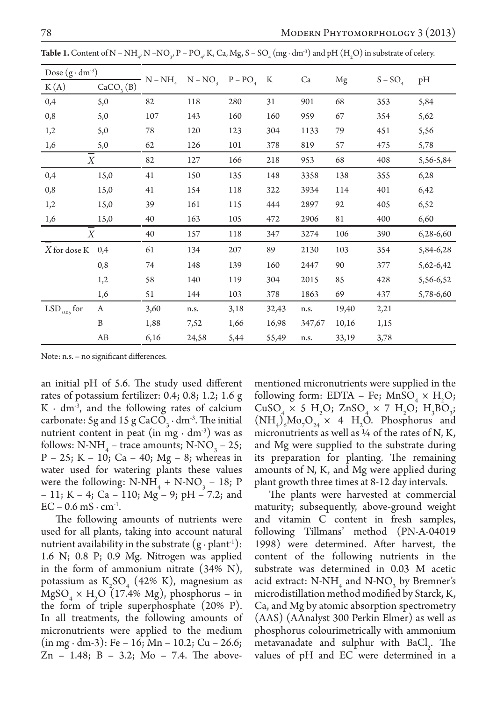| Dose $(g \cdot dm^{-3})$ |                       |              | $N - NO_{\alpha}$ |              | K     | Ca     |       |           |           |
|--------------------------|-----------------------|--------------|-------------------|--------------|-------|--------|-------|-----------|-----------|
| K(A)                     | CaCO <sub>3</sub> (B) | $N - NH_{A}$ |                   | $P - PO_{A}$ |       |        | Mg    | $S - SO4$ | pH        |
| 0,4                      | 5,0                   | 82           | 118               | 280          | 31    | 901    | 68    | 353       | 5,84      |
| 0,8                      | 5,0                   | 107          | 143               | 160          | 160   | 959    | 67    | 354       | 5,62      |
| 1,2                      | 5,0                   | 78           | 120               | 123          | 304   | 1133   | 79    | 451       | 5,56      |
| 1,6                      | 5,0                   | 62           | 126               | 101          | 378   | 819    | 57    | 475       | 5,78      |
| X                        |                       | 82           | 127               | 166          | 218   | 953    | 68    | 408       | 5,56-5,84 |
| 0,4                      | 15,0                  | 41           | 150               | 135          | 148   | 3358   | 138   | 355       | 6,28      |
| 0,8                      | 15,0                  | 41           | 154               | 118          | 322   | 3934   | 114   | 401       | 6,42      |
| 1,2                      | 15,0                  | 39           | 161               | 115          | 444   | 2897   | 92    | 405       | 6,52      |
| 1,6                      | 15,0                  | 40           | 163               | 105          | 472   | 2906   | 81    | 400       | 6,60      |
| X                        |                       | 40           | 157               | 118          | 347   | 3274   | 106   | 390       | 6,28-6,60 |
| $X$ for dose $\mathbb K$ | 0,4                   | 61           | 134               | 207          | 89    | 2130   | 103   | 354       | 5,84-6,28 |
|                          | 0,8                   | 74           | 148               | 139          | 160   | 2447   | 90    | 377       | 5,62-6,42 |
|                          | 1,2                   | 58           | 140               | 119          | 304   | 2015   | 85    | 428       | 5,56-6,52 |
|                          | 1,6                   | 51           | 144               | 103          | 378   | 1863   | 69    | 437       | 5,78-6,60 |
| $LSD_{0.05}$ for         | A                     | 3,60         | n.s.              | 3,18         | 32,43 | n.s.   | 19,40 | 2,21      |           |
|                          | B                     | 1,88         | 7,52              | 1,66         | 16,98 | 347,67 | 10,16 | 1,15      |           |
|                          | AB                    | 6,16         | 24,58             | 5,44         | 55,49 | n.s.   | 33,19 | 3,78      |           |

**Table 1.** Content of N – NH<sub>4</sub>, N –NO<sub>3</sub>, P – PO<sub>4</sub>, K, Ca, Mg, S – SO<sub>4</sub> (mg  $\cdot$  dm<sup>-3</sup>) and pH (H<sub>2</sub>O) in substrate of celery.

Note: n.s. – no significant differences.

an initial pH of 5.6. The study used different rates of potassium fertilizer: 0.4; 0.8; 1.2; 1.6 g  $K \cdot dm^3$ , and the following rates of calcium carbonate: 5g and 15 g  $CaCO_3 \cdot dm^3$ . The initial nutrient content in peat (in mg ⋅  $dm<sup>3</sup>$ ) was as follows:  $N-NH_4$  – trace amounts;  $N-NO_3$  – 25;  $P - 25$ ; K – 10; Ca – 40; Mg – 8; whereas in water used for watering plants these values were the following:  $N-NH_4 + N-NO_3 - 18$ ; P – 11; K – 4; Ca – 110; Mg – 9; pH – 7.2; and  $EC - 0.6$  mS  $\cdot$  cm<sup>-1</sup>.

The following amounts of nutrients were used for all plants, taking into account natural nutrient availability in the substrate  $(g \cdot plant^{-1})$ : 1.6 N; 0.8 P; 0.9 Mg. Nitrogen was applied in the form of ammonium nitrate (34% N), potassium as  $K_2SO_4$  (42% K), magnesium as  $MgSO_4 \times H_2O$  (17.4% Mg), phosphorus – in the form of triple superphosphate (20% P). In all treatments, the following amounts of micronutrients were applied to the medium (in mg ∙ dm-3): Fe – 16; Mn – 10.2; Cu – 26.6;  $Zn - 1.48$ ; B  $- 3.2$ ; Mo  $- 7.4$ . The abovementioned micronutrients were supplied in the following form:  $EDTA - Fe$ ;  $MnSO_4 \times H_2O$ ;  $CuSO_4 \times 5 H_2O$ ;  $ZnSO_4 \times 7 H_2O$ ;  $H_3BO_{32}$  $(NH_4)_{6}Mo_{7}O_{24} \times 4 H_2O.$  Phosphorus and micronutrients as well as  $\frac{1}{4}$  of the rates of N, K, and Mg were supplied to the substrate during its preparation for planting. The remaining amounts of N, K, and Mg were applied during plant growth three times at 8-12 day intervals.

The plants were harvested at commercial maturity; subsequently, above-ground weight and vitamin C content in fresh samples, following Tillmans' method (PN-A-04019 1998) were determined. After harvest, the content of the following nutrients in the substrate was determined in 0.03 M acetic acid extract:  $N-NH_4$  and  $N-NO_3$  by Bremner's microdistillation method modified by Starck, K, Ca, and Mg by atomic absorption spectrometry (AAS) (AAnalyst 300 Perkin Elmer) as well as phosphorus colourimetrically with ammonium metavanadate and sulphur with  $BaCl_2$ . The values of pH and EC were determined in a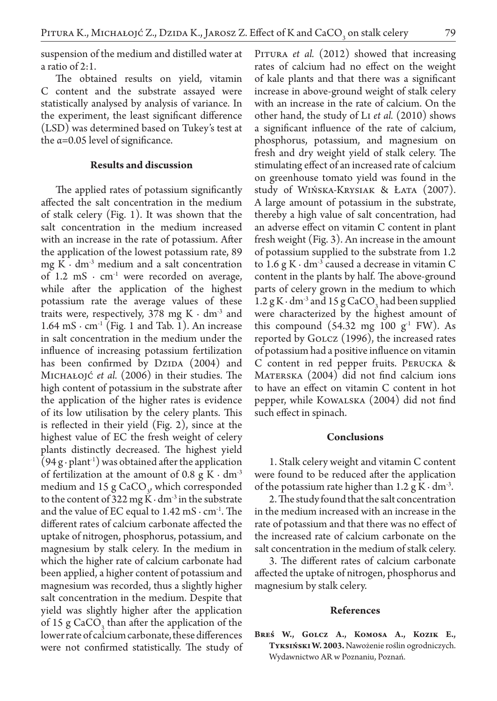suspension of the medium and distilled water at a ratio of 2:1.

The obtained results on yield, vitamin C content and the substrate assayed were statistically analysed by analysis of variance. In the experiment, the least significant difference (LSD) was determined based on Tukey's test at the  $\alpha$ =0.05 level of significance.

### **Results and discussion**

The applied rates of potassium significantly affected the salt concentration in the medium of stalk celery (Fig. 1). It was shown that the salt concentration in the medium increased with an increase in the rate of potassium. After the application of the lowest potassium rate, 89 mg K ⋅  $dm<sup>-3</sup>$  medium and a salt concentration of  $1.2 \text{ mS} \cdot \text{cm}^{-1}$  were recorded on average, while after the application of the highest potassium rate the average values of these traits were, respectively, 378 mg K $\cdot$  dm<sup>-3</sup> and  $1.64 \text{ mS} \cdot \text{cm}^{-1}$  (Fig. 1 and Tab. 1). An increase in salt concentration in the medium under the influence of increasing potassium fertilization has been confirmed by  $DzIDA$   $(2004)$  and Michałojć *et al.* (2006) in their studies. The high content of potassium in the substrate after the application of the higher rates is evidence of its low utilisation by the celery plants. This is reflected in their yield (Fig. 2), since at the highest value of EC the fresh weight of celery plants distinctly decreased. The highest yield  $(94 g \cdot plant^{-1})$  was obtained after the application of fertilization at the amount of 0.8 g K  $\cdot$  dm<sup>-3</sup> medium and  $15 \text{ g } \text{CaCO}_3$ , which corresponded to the content of 322 mg K $\cdot$  dm<sup>3</sup> in the substrate and the value of EC equal to  $1.42 \text{ mS} \cdot \text{cm}^{-1}$ . The different rates of calcium carbonate affected the uptake of nitrogen, phosphorus, potassium, and magnesium by stalk celery. In the medium in which the higher rate of calcium carbonate had been applied, a higher content of potassium and magnesium was recorded, thus a slightly higher salt concentration in the medium. Despite that yield was slightly higher after the application of 15 g  $CaCO<sub>3</sub>$  than after the application of the lower rate of calcium carbonate, these differences were not confirmed statistically. The study of

PITURA *et al.* (2012) showed that increasing rates of calcium had no effect on the weight of kale plants and that there was a significant increase in above-ground weight of stalk celery with an increase in the rate of calcium. On the other hand, the study of Li *et al.* (2010) shows a significant influence of the rate of calcium, phosphorus, potassium, and magnesium on fresh and dry weight yield of stalk celery. The stimulating effect of an increased rate of calcium on greenhouse tomato yield was found in the study of Wińska-Krysiak & Łata (2007). A large amount of potassium in the substrate, thereby a high value of salt concentration, had an adverse effect on vitamin C content in plant fresh weight (Fig. 3). An increase in the amount of potassium supplied to the substrate from 1.2 to 1.6 g K  $\cdot$  dm<sup>3</sup> caused a decrease in vitamin C content in the plants by half. The above-ground parts of celery grown in the medium to which 1.2 g K ⋅ dm<sup>-3</sup> and 15 g CaCO<sub>3</sub> had been supplied were characterized by the highest amount of this compound  $(54.32 \text{ mg } 100 \text{ g}^1 \text{ FW})$ . As reported by Golcz (1996), the increased rates of potassium had a positive influence on vitamin C content in red pepper fruits. Perucka & MATERSKA (2004) did not find calcium ions to have an effect on vitamin C content in hot pepper, while Kowalska (2004) did not find such effect in spinach.

#### **Conclusions**

1. Stalk celery weight and vitamin C content were found to be reduced after the application of the potassium rate higher than  $1.2$  g K ⋅ dm<sup>-3</sup>.

2. The study found that the salt concentration in the medium increased with an increase in the rate of potassium and that there was no effect of the increased rate of calcium carbonate on the salt concentration in the medium of stalk celery.

3. The different rates of calcium carbonate affected the uptake of nitrogen, phosphorus and magnesium by stalk celery.

#### **References**

**Breś W., Golcz A., Komosa A., Kozik E., Tyksiński W. 2003.** Nawożenie roślin ogrodniczych. Wydawnictwo AR w Poznaniu, Poznań.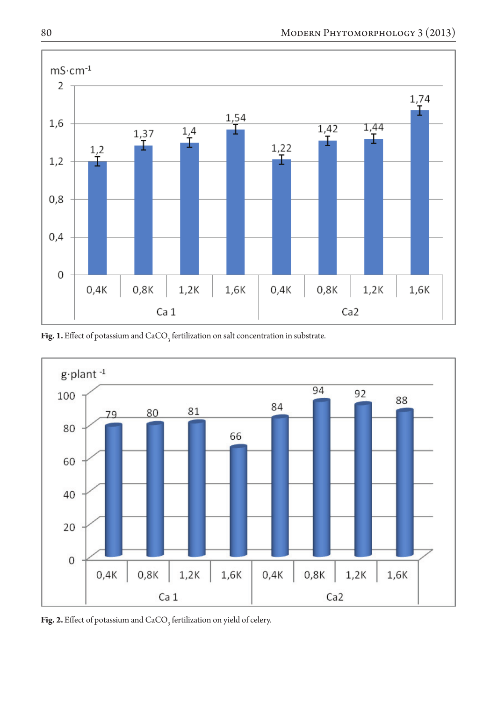

**Fig. 1.** Effect of potassium and  $\text{CaCO}_3^{\text{}}$  fertilization on salt concentration in substrate.



**Fig. 2.** Effect of potassium and  $\text{CaCO}_3^3$  fertilization on yield of celery.